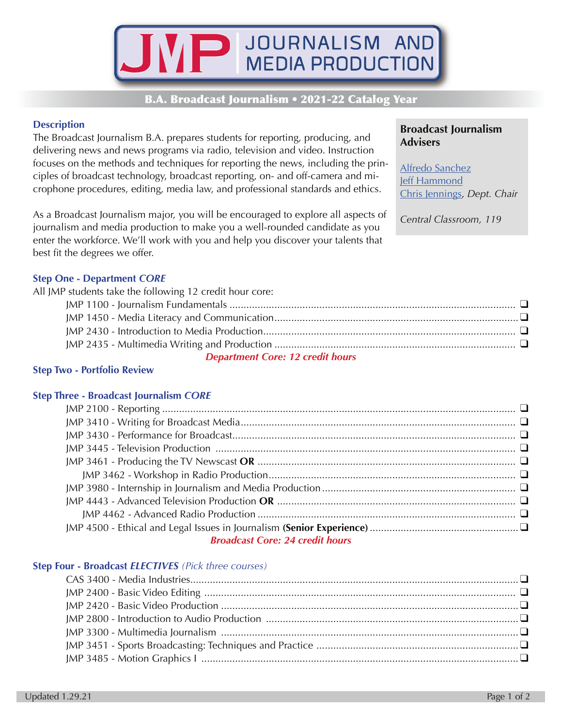

## **B.A. Broadcast Journalism • 2021-22 Catalog Year**

## **Description**

The Broadcast Journalism B.A. prepares students for reporting, producing, and delivering news and news programs via radio, television and video. Instruction focuses on the methods and techniques for reporting the news, including the principles of broadcast technology, broadcast reporting, on- and off-camera and microphone procedures, editing, media law, and professional standards and ethics.

As a Broadcast Journalism major, you will be encouraged to explore all aspects of journalism and media production to make you a well-rounded candidate as you enter the workforce. We'll work with you and help you discover your talents that best fit the degrees we offer.

**Broadcast Journalism Advisers** 

Alfredo Sanchez **Jeff Hammond** Chris Jennings, Dept. Chair

Central Classroom, 119

### **Step One - Department CORE**

| All JMP students take the following 12 credit hour core: |  |
|----------------------------------------------------------|--|
|                                                          |  |
|                                                          |  |
|                                                          |  |
|                                                          |  |
| <b>Department Core: 12 credit hours</b>                  |  |

## **Step Two - Portfolio Review**

#### **Step Three - Broadcast Journalism CORE**

| <b>Broadcast Core: 24 credit hours</b> |
|----------------------------------------|

#### Step Four - Broadcast ELECTIVES (Pick three courses)